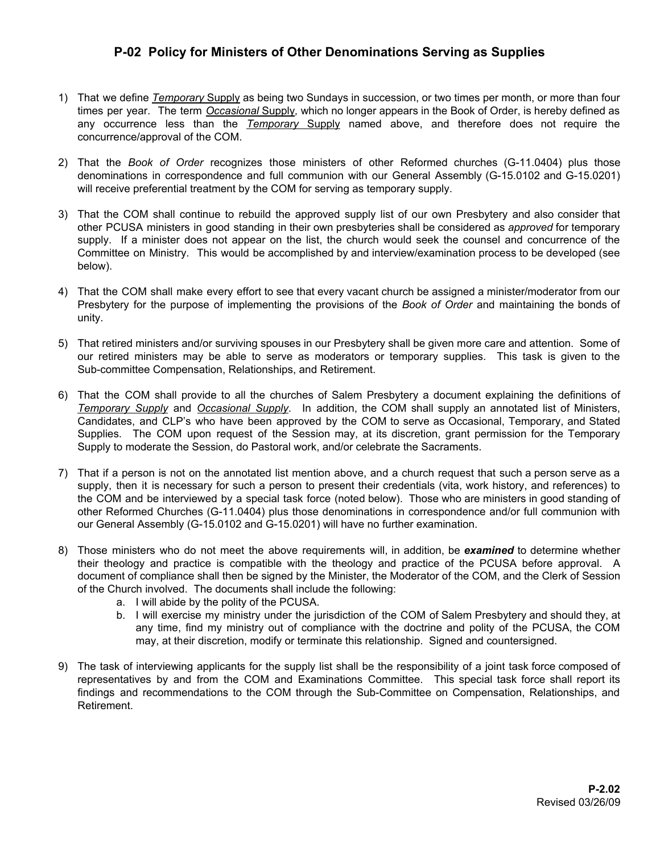## **P-02 Policy for Ministers of Other Denominations Serving as Supplies**

- 1) That we define *Temporary* Supply as being two Sundays in succession, or two times per month, or more than four times per year. The term *Occasional* Supply*,* which no longer appears in the Book of Order, is hereby defined as any occurrence less than the *Temporary* Supply named above, and therefore does not require the concurrence/approval of the COM.
- 2) That the *Book of Order* recognizes those ministers of other Reformed churches (G-11.0404) plus those denominations in correspondence and full communion with our General Assembly (G-15.0102 and G-15.0201) will receive preferential treatment by the COM for serving as temporary supply.
- 3) That the COM shall continue to rebuild the approved supply list of our own Presbytery and also consider that other PCUSA ministers in good standing in their own presbyteries shall be considered as *approved* for temporary supply. If a minister does not appear on the list, the church would seek the counsel and concurrence of the Committee on Ministry. This would be accomplished by and interview/examination process to be developed (see below).
- 4) That the COM shall make every effort to see that every vacant church be assigned a minister/moderator from our Presbytery for the purpose of implementing the provisions of the *Book of Order* and maintaining the bonds of unity.
- 5) That retired ministers and/or surviving spouses in our Presbytery shall be given more care and attention. Some of our retired ministers may be able to serve as moderators or temporary supplies. This task is given to the Sub-committee Compensation, Relationships, and Retirement.
- 6) That the COM shall provide to all the churches of Salem Presbytery a document explaining the definitions of *Temporary Supply* and *Occasional Supply*. In addition, the COM shall supply an annotated list of Ministers, Candidates, and CLP's who have been approved by the COM to serve as Occasional, Temporary, and Stated Supplies. The COM upon request of the Session may, at its discretion, grant permission for the Temporary Supply to moderate the Session, do Pastoral work, and/or celebrate the Sacraments.
- 7) That if a person is not on the annotated list mention above, and a church request that such a person serve as a supply, then it is necessary for such a person to present their credentials (vita, work history, and references) to the COM and be interviewed by a special task force (noted below). Those who are ministers in good standing of other Reformed Churches (G-11.0404) plus those denominations in correspondence and/or full communion with our General Assembly (G-15.0102 and G-15.0201) will have no further examination.
- 8) Those ministers who do not meet the above requirements will, in addition, be *examined* to determine whether their theology and practice is compatible with the theology and practice of the PCUSA before approval. A document of compliance shall then be signed by the Minister, the Moderator of the COM, and the Clerk of Session of the Church involved. The documents shall include the following:
	- a. I will abide by the polity of the PCUSA.
	- b. I will exercise my ministry under the jurisdiction of the COM of Salem Presbytery and should they, at any time, find my ministry out of compliance with the doctrine and polity of the PCUSA, the COM may, at their discretion, modify or terminate this relationship. Signed and countersigned.
- 9) The task of interviewing applicants for the supply list shall be the responsibility of a joint task force composed of representatives by and from the COM and Examinations Committee. This special task force shall report its findings and recommendations to the COM through the Sub-Committee on Compensation, Relationships, and Retirement.